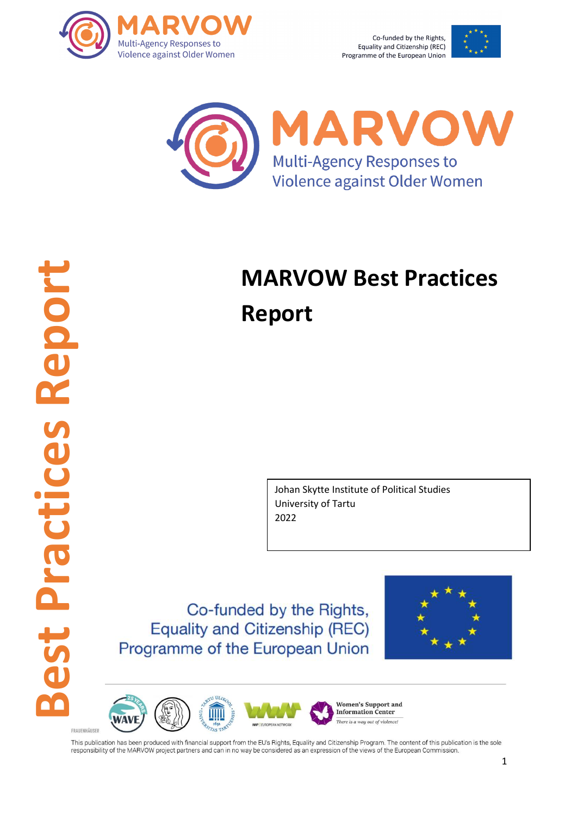

Co-funded by the Rights, Equality and Citizenship (REC) Programme of the European Union





# **MARVOW Best Practices Report**

Johan Skytte Institute of Political Studies University of Tartu 2022

Co-funded by the Rights, **Equality and Citizenship (REC)** Programme of the European Union



**Women's Support and Information Center** There is a way out of violence **WWP LEUROPEAN NETWORK**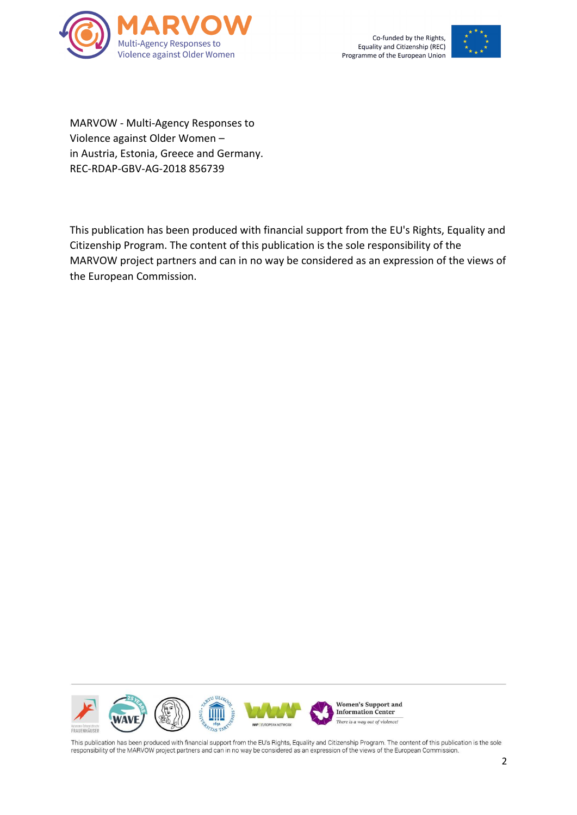



MARVOW - Multi-Agency Responses to Violence against Older Women – in Austria, Estonia, Greece and Germany. REC-RDAP-GBV-AG-2018 856739

This publication has been produced with financial support from the EU's Rights, Equality and Citizenship Program. The content of this publication is the sole responsibility of the MARVOW project partners and can in no way be considered as an expression of the views of the European Commission.

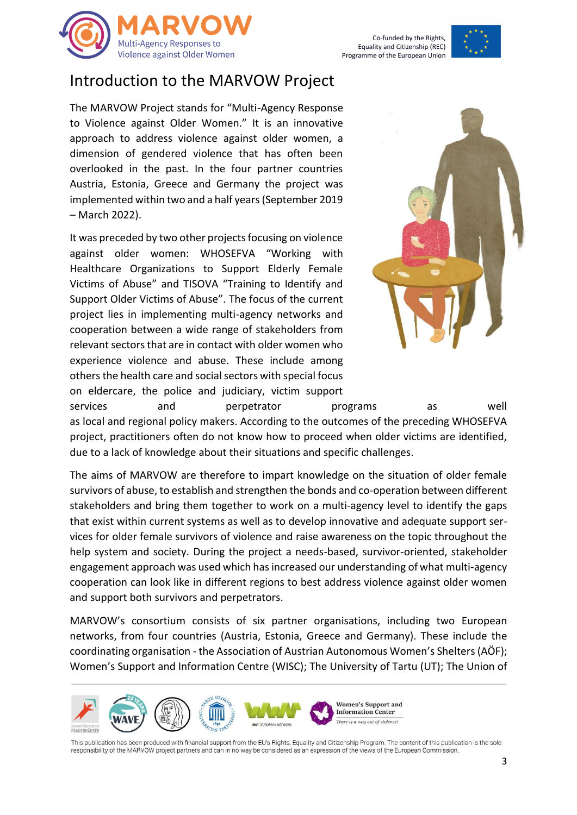



#### Introduction to the MARVOW Project

The MARVOW Project stands for "Multi-Agency Response to Violence against Older Women." It is an innovative approach to address violence against older women, a dimension of gendered violence that has often been overlooked in the past. In the four partner countries Austria, Estonia, Greece and Germany the project was implemented within two and a half years(September 2019 – March 2022).

It was preceded by two other projects focusing on violence against older women: WHOSEFVA "Working with Healthcare Organizations to Support Elderly Female Victims of Abuse" and TISOVA "Training to Identify and Support Older Victims of Abuse". The focus of the current project lies in implementing multi-agency networks and cooperation between a wide range of stakeholders from relevant sectors that are in contact with older women who experience violence and abuse. These include among others the health care and social sectors with special focus on eldercare, the police and judiciary, victim support



services and perpetrator programs as well as local and regional policy makers. According to the outcomes of the preceding WHOSEFVA project, practitioners often do not know how to proceed when older victims are identified, due to a lack of knowledge about their situations and specific challenges.

The aims of MARVOW are therefore to impart knowledge on the situation of older female survivors of abuse, to establish and strengthen the bonds and co-operation between different stakeholders and bring them together to work on a multi-agency level to identify the gaps that exist within current systems as well as to develop innovative and adequate support services for older female survivors of violence and raise awareness on the topic throughout the help system and society. During the project a needs-based, survivor-oriented, stakeholder engagement approach was used which has increased our understanding of what multi-agency cooperation can look like in different regions to best address violence against older women and support both survivors and perpetrators.

MARVOW's consortium consists of six partner organisations, including two European networks, from four countries (Austria, Estonia, Greece and Germany). These include the coordinating organisation - the Association of Austrian Autonomous Women's Shelters(AÖF); Women's Support and Information Centre (WISC); The University of Tartu (UT); The Union of

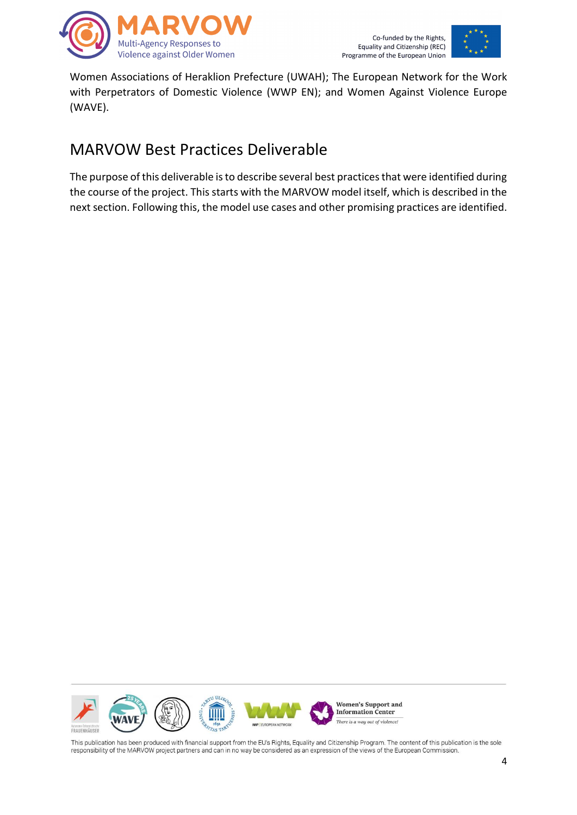



Women Associations of Heraklion Prefecture (UWAH); The European Network for the Work with Perpetrators of Domestic Violence (WWP EN); and Women Against Violence Europe (WAVE).

## MARVOW Best Practices Deliverable

The purpose of this deliverable is to describe several best practices that were identified during the course of the project. This starts with the MARVOW model itself, which is described in the next section. Following this, the model use cases and other promising practices are identified.

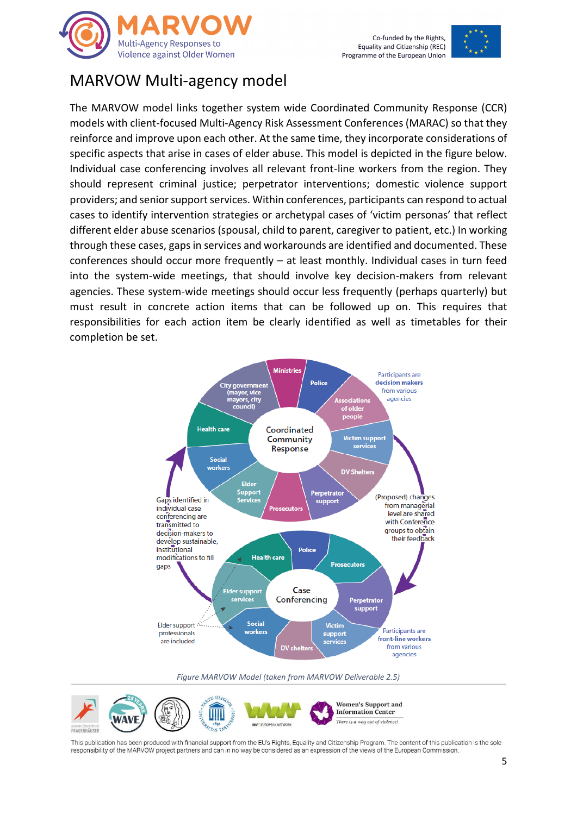



### MARVOW Multi-agency model

The MARVOW model links together system wide Coordinated Community Response (CCR) models with client-focused Multi-Agency Risk Assessment Conferences (MARAC) so that they reinforce and improve upon each other. At the same time, they incorporate considerations of specific aspects that arise in cases of elder abuse. This model is depicted in the figure below. Individual case conferencing involves all relevant front-line workers from the region. They should represent criminal justice; perpetrator interventions; domestic violence support providers; and senior support services. Within conferences, participants can respond to actual cases to identify intervention strategies or archetypal cases of 'victim personas' that reflect different elder abuse scenarios (spousal, child to parent, caregiver to patient, etc.) In working through these cases, gaps in services and workarounds are identified and documented. These conferences should occur more frequently – at least monthly. Individual cases in turn feed into the system-wide meetings, that should involve key decision-makers from relevant agencies. These system-wide meetings should occur less frequently (perhaps quarterly) but must result in concrete action items that can be followed up on. This requires that responsibilities for each action item be clearly identified as well as timetables for their completion be set.



*Figure MARVOW Model (taken from MARVOW Deliverable 2.5)*

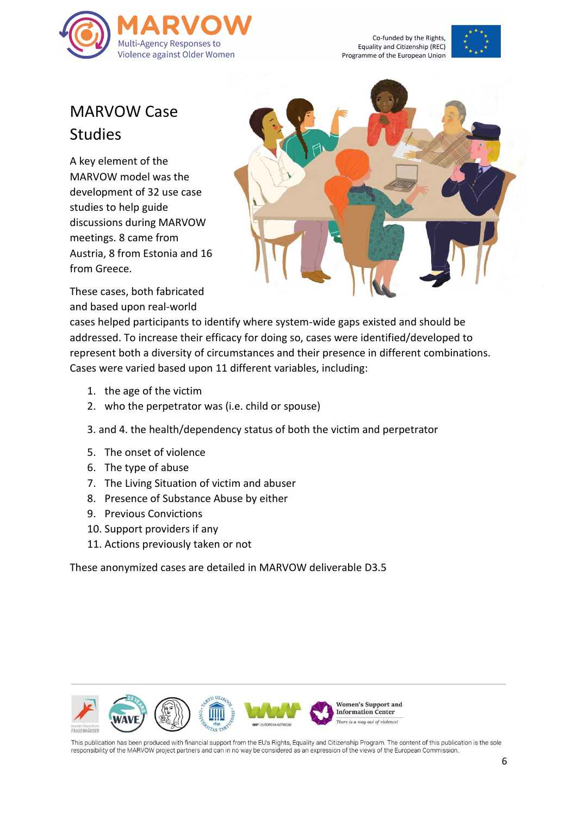

Co-funded by the Rights, Equality and Citizenship (REC) Programme of the European Union



# MARVOW Case **Studies**

A key element of the MARVOW model was the development of 32 use case studies to help guide discussions during MARVOW meetings. 8 came from Austria, 8 from Estonia and 16 from Greece.



These cases, both fabricated and based upon real-world

cases helped participants to identify where system-wide gaps existed and should be addressed. To increase their efficacy for doing so, cases were identified/developed to represent both a diversity of circumstances and their presence in different combinations. Cases were varied based upon 11 different variables, including:

- 1. the age of the victim
- 2. who the perpetrator was (i.e. child or spouse)
- 3. and 4. the health/dependency status of both the victim and perpetrator
- 5. The onset of violence
- 6. The type of abuse
- 7. The Living Situation of victim and abuser
- 8. Presence of Substance Abuse by either
- 9. Previous Convictions
- 10. Support providers if any
- 11. Actions previously taken or not

These anonymized cases are detailed in MARVOW deliverable D3.5

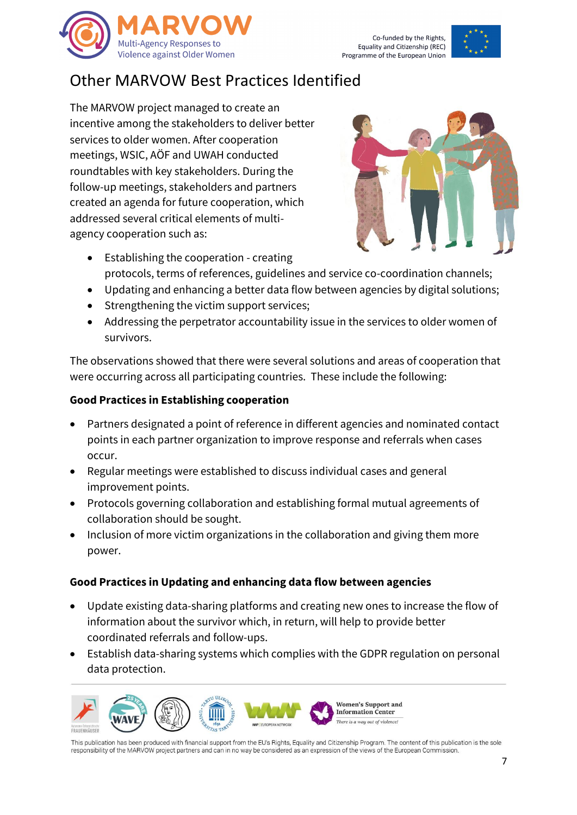



## Other MARVOW Best Practices Identified

The MARVOW project managed to create an incentive among the stakeholders to deliver better services to older women. After cooperation meetings, WSIC, AÖF and UWAH conducted roundtables with key stakeholders. During the follow-up meetings, stakeholders and partners created an agenda for future cooperation, which addressed several critical elements of multiagency cooperation such as:



- Establishing the cooperation creating protocols, terms of references, guidelines and service co-coordination channels;
- Updating and enhancing a better data flow between agencies by digital solutions;
- Strengthening the victim support services;
- Addressing the perpetrator accountability issue in the services to older women of survivors.

The observations showed that there were several solutions and areas of cooperation that were occurring across all participating countries. These include the following:

#### **Good Practices in Establishing cooperation**

- Partners designated a point of reference in different agencies and nominated contact points in each partner organization to improve response and referrals when cases occur.
- Regular meetings were established to discuss individual cases and general improvement points.
- Protocols governing collaboration and establishing formal mutual agreements of collaboration should be sought.
- Inclusion of more victim organizations in the collaboration and giving them more power.

#### **Good Practices in Updating and enhancing data flow between agencies**

- Update existing data-sharing platforms and creating new ones to increase the flow of information about the survivor which, in return, will help to provide better coordinated referrals and follow-ups.
- Establish data-sharing systems which complies with the GDPR regulation on personal data protection.